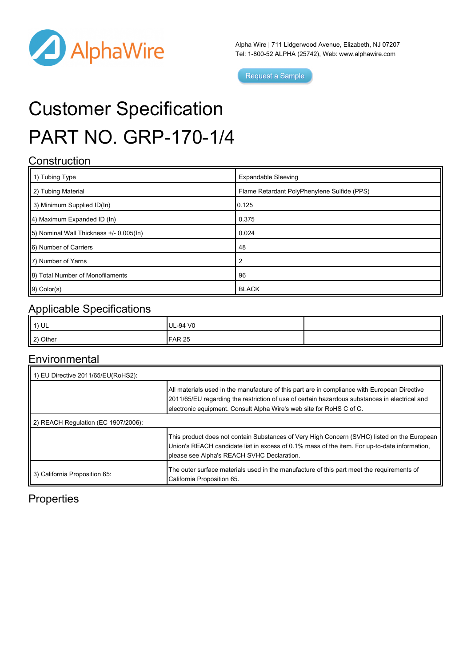

Alpha Wire | 711 Lidgerwood Avenue, Elizabeth, NJ 07207 Tel: 1-800-52 ALPHA (25742), Web: [www.alphawire.com](http://www.alphawire.com)

Request a Sample

# Customer Specification PART NO. GRP-170-1/4

#### **Construction**

| $\parallel$ 1) Tubing Type               | <b>Expandable Sleeving</b>                  |
|------------------------------------------|---------------------------------------------|
| 2) Tubing Material                       | Flame Retardant PolyPhenylene Sulfide (PPS) |
| 3) Minimum Supplied ID(In)               | 0.125                                       |
| $  4$ ) Maximum Expanded ID (In)         | 0.375                                       |
| [5] Nominal Wall Thickness +/- 0.005(ln) | 0.024                                       |
| 6) Number of Carriers                    | 48                                          |
| 17) Number of Yarns                      | $\overline{2}$                              |
| 8) Total Number of Monofilaments         | 96                                          |
| $\vert$ 9) Color(s)                      | <b>BLACK</b>                                |

## Applicable Specifications

| 1) UL    | UL-94 V0      |  |
|----------|---------------|--|
| 2) Other | <b>FAR 25</b> |  |

#### **Environmental**

| 1) EU Directive 2011/65/EU(RoHS2):  |                                                                                                                                                                                                                                                                       |  |
|-------------------------------------|-----------------------------------------------------------------------------------------------------------------------------------------------------------------------------------------------------------------------------------------------------------------------|--|
|                                     | All materials used in the manufacture of this part are in compliance with European Directive<br>2011/65/EU regarding the restriction of use of certain hazardous substances in electrical and<br>electronic equipment. Consult Alpha Wire's web site for RoHS C of C. |  |
| 2) REACH Regulation (EC 1907/2006): |                                                                                                                                                                                                                                                                       |  |
|                                     | This product does not contain Substances of Very High Concern (SVHC) listed on the European<br>Union's REACH candidate list in excess of 0.1% mass of the item. For up-to-date information,<br>please see Alpha's REACH SVHC Declaration.                             |  |
| 3) California Proposition 65:       | The outer surface materials used in the manufacture of this part meet the requirements of<br>California Proposition 65.                                                                                                                                               |  |

## **Properties**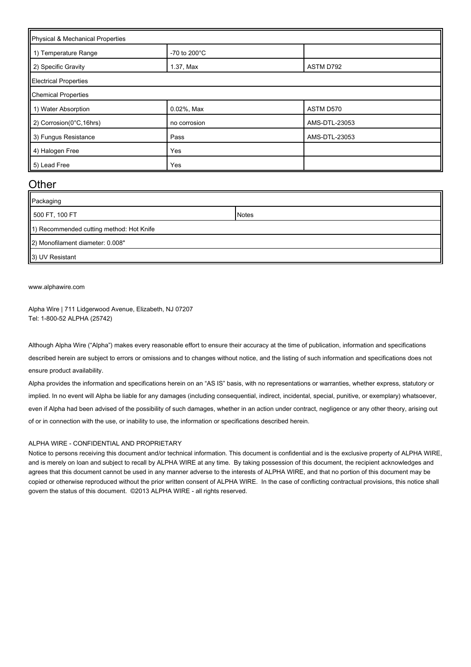| Physical & Mechanical Properties |                         |               |  |
|----------------------------------|-------------------------|---------------|--|
| 1) Temperature Range             | -70 to 200 $^{\circ}$ C |               |  |
| 2) Specific Gravity              | 1.37, Max               | ASTM D792     |  |
| <b>Electrical Properties</b>     |                         |               |  |
| <b>Chemical Properties</b>       |                         |               |  |
| 1) Water Absorption              | 0.02%, Max              | ASTM D570     |  |
| 2) Corrosion(0°C, 16hrs)         | no corrosion            | AMS-DTL-23053 |  |
| 3) Fungus Resistance             | Pass                    | AMS-DTL-23053 |  |
| 4) Halogen Free                  | Yes                     |               |  |
| 5) Lead Free                     | Yes                     |               |  |

#### **Other**

| Packaging                                |              |  |
|------------------------------------------|--------------|--|
| 500 FT, 100 FT                           | <b>Notes</b> |  |
| 1) Recommended cutting method: Hot Knife |              |  |
| 2) Monofilament diameter: 0.008"         |              |  |
| 3) UV Resistant                          |              |  |

#### [www.alphawire.com](http://www.alphawire.com)

Alpha Wire | 711 Lidgerwood Avenue, Elizabeth, NJ 07207 Tel: 1-800-52 ALPHA (25742)

Although Alpha Wire ("Alpha") makes every reasonable effort to ensure their accuracy at the time of publication, information and specifications described herein are subject to errors or omissions and to changes without notice, and the listing of such information and specifications does not ensure product availability.

Alpha provides the information and specifications herein on an "AS IS" basis, with no representations or warranties, whether express, statutory or implied. In no event will Alpha be liable for any damages (including consequential, indirect, incidental, special, punitive, or exemplary) whatsoever, even if Alpha had been advised of the possibility of such damages, whether in an action under contract, negligence or any other theory, arising out of or in connection with the use, or inability to use, the information or specifications described herein.

#### ALPHA WIRE - CONFIDENTIAL AND PROPRIETARY

Notice to persons receiving this document and/or technical information. This document is confidential and is the exclusive property of ALPHA WIRE, and is merely on loan and subject to recall by ALPHA WIRE at any time. By taking possession of this document, the recipient acknowledges and agrees that this document cannot be used in any manner adverse to the interests of ALPHA WIRE, and that no portion of this document may be copied or otherwise reproduced without the prior written consent of ALPHA WIRE. In the case of conflicting contractual provisions, this notice shall govern the status of this document. ©2013 ALPHA WIRE - all rights reserved.